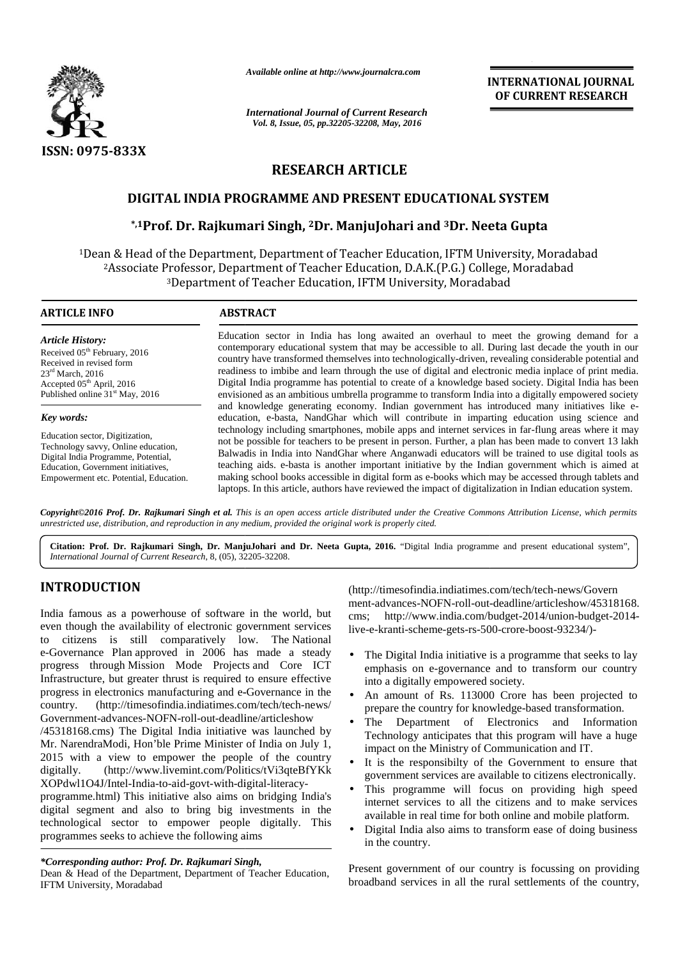

*Available online at http://www.journalcra.com*

# **RESEARCH ARTICLE RESEARCH**

# **DIGITAL INDIA PROGRAMME AND PRESENT EDUCATIONAL SYSTEM**

# **\*,1Prof. Dr. Rajkumari Singh, <sup>2</sup>Dr. ManjuJohari and <sup>3</sup>Dr. Neeta Gupta SYSTEMProf. Dr. Dr.**

|                                                                                                                                                                                                                                                                                                                                                                                                                                                                                                                                                                                                                                                                                                                                                                                                                                                                                                                                                                                                                                                                                                                                                              | Available online at http://www.journalcra.com                                                                                                                                                                                                                                                                                                                                                                                                                                                                                                                                                                                                                                                                                                                                                                                                                                                                                                                                                                                                                                                                                                                                                                                                                                                                                                                                                                                                                                                                                                                                                                                                                                                                                                           |                                                                                                                                        | <b>INTERNATIONAL JOURNAL</b><br>OF CURRENT RESEARCH                                                                                                                                                                                                                                                                                                                                                                                                                                                                                                                                                                                                                                                                                                                                                                                                                                                                                                                                                                            |
|--------------------------------------------------------------------------------------------------------------------------------------------------------------------------------------------------------------------------------------------------------------------------------------------------------------------------------------------------------------------------------------------------------------------------------------------------------------------------------------------------------------------------------------------------------------------------------------------------------------------------------------------------------------------------------------------------------------------------------------------------------------------------------------------------------------------------------------------------------------------------------------------------------------------------------------------------------------------------------------------------------------------------------------------------------------------------------------------------------------------------------------------------------------|---------------------------------------------------------------------------------------------------------------------------------------------------------------------------------------------------------------------------------------------------------------------------------------------------------------------------------------------------------------------------------------------------------------------------------------------------------------------------------------------------------------------------------------------------------------------------------------------------------------------------------------------------------------------------------------------------------------------------------------------------------------------------------------------------------------------------------------------------------------------------------------------------------------------------------------------------------------------------------------------------------------------------------------------------------------------------------------------------------------------------------------------------------------------------------------------------------------------------------------------------------------------------------------------------------------------------------------------------------------------------------------------------------------------------------------------------------------------------------------------------------------------------------------------------------------------------------------------------------------------------------------------------------------------------------------------------------------------------------------------------------|----------------------------------------------------------------------------------------------------------------------------------------|--------------------------------------------------------------------------------------------------------------------------------------------------------------------------------------------------------------------------------------------------------------------------------------------------------------------------------------------------------------------------------------------------------------------------------------------------------------------------------------------------------------------------------------------------------------------------------------------------------------------------------------------------------------------------------------------------------------------------------------------------------------------------------------------------------------------------------------------------------------------------------------------------------------------------------------------------------------------------------------------------------------------------------|
|                                                                                                                                                                                                                                                                                                                                                                                                                                                                                                                                                                                                                                                                                                                                                                                                                                                                                                                                                                                                                                                                                                                                                              | <b>International Journal of Current Research</b><br>Vol. 8, Issue, 05, pp.32205-32208, May, 2016                                                                                                                                                                                                                                                                                                                                                                                                                                                                                                                                                                                                                                                                                                                                                                                                                                                                                                                                                                                                                                                                                                                                                                                                                                                                                                                                                                                                                                                                                                                                                                                                                                                        |                                                                                                                                        |                                                                                                                                                                                                                                                                                                                                                                                                                                                                                                                                                                                                                                                                                                                                                                                                                                                                                                                                                                                                                                |
| <b>ISSN: 0975-833X</b>                                                                                                                                                                                                                                                                                                                                                                                                                                                                                                                                                                                                                                                                                                                                                                                                                                                                                                                                                                                                                                                                                                                                       |                                                                                                                                                                                                                                                                                                                                                                                                                                                                                                                                                                                                                                                                                                                                                                                                                                                                                                                                                                                                                                                                                                                                                                                                                                                                                                                                                                                                                                                                                                                                                                                                                                                                                                                                                         |                                                                                                                                        |                                                                                                                                                                                                                                                                                                                                                                                                                                                                                                                                                                                                                                                                                                                                                                                                                                                                                                                                                                                                                                |
|                                                                                                                                                                                                                                                                                                                                                                                                                                                                                                                                                                                                                                                                                                                                                                                                                                                                                                                                                                                                                                                                                                                                                              | <b>RESEARCH ARTICLE</b>                                                                                                                                                                                                                                                                                                                                                                                                                                                                                                                                                                                                                                                                                                                                                                                                                                                                                                                                                                                                                                                                                                                                                                                                                                                                                                                                                                                                                                                                                                                                                                                                                                                                                                                                 |                                                                                                                                        |                                                                                                                                                                                                                                                                                                                                                                                                                                                                                                                                                                                                                                                                                                                                                                                                                                                                                                                                                                                                                                |
|                                                                                                                                                                                                                                                                                                                                                                                                                                                                                                                                                                                                                                                                                                                                                                                                                                                                                                                                                                                                                                                                                                                                                              | DIGITAL INDIA PROGRAMME AND PRESENT EDUCATIONAL SYSTEM                                                                                                                                                                                                                                                                                                                                                                                                                                                                                                                                                                                                                                                                                                                                                                                                                                                                                                                                                                                                                                                                                                                                                                                                                                                                                                                                                                                                                                                                                                                                                                                                                                                                                                  |                                                                                                                                        |                                                                                                                                                                                                                                                                                                                                                                                                                                                                                                                                                                                                                                                                                                                                                                                                                                                                                                                                                                                                                                |
|                                                                                                                                                                                                                                                                                                                                                                                                                                                                                                                                                                                                                                                                                                                                                                                                                                                                                                                                                                                                                                                                                                                                                              | *,1Prof. Dr. Rajkumari Singh, <sup>2</sup> Dr. ManjuJohari and <sup>3</sup> Dr. Neeta Gupta                                                                                                                                                                                                                                                                                                                                                                                                                                                                                                                                                                                                                                                                                                                                                                                                                                                                                                                                                                                                                                                                                                                                                                                                                                                                                                                                                                                                                                                                                                                                                                                                                                                             |                                                                                                                                        |                                                                                                                                                                                                                                                                                                                                                                                                                                                                                                                                                                                                                                                                                                                                                                                                                                                                                                                                                                                                                                |
|                                                                                                                                                                                                                                                                                                                                                                                                                                                                                                                                                                                                                                                                                                                                                                                                                                                                                                                                                                                                                                                                                                                                                              | <sup>2</sup> Associate Professor, Department of Teacher Education, D.A.K.(P.G.) College, Moradabad<br><sup>3</sup> Department of Teacher Education, IFTM University, Moradabad                                                                                                                                                                                                                                                                                                                                                                                                                                                                                                                                                                                                                                                                                                                                                                                                                                                                                                                                                                                                                                                                                                                                                                                                                                                                                                                                                                                                                                                                                                                                                                          |                                                                                                                                        | <sup>1</sup> Dean & Head of the Department, Department of Teacher Education, IFTM University, Moradabad                                                                                                                                                                                                                                                                                                                                                                                                                                                                                                                                                                                                                                                                                                                                                                                                                                                                                                                        |
| <b>ARTICLE INFO</b>                                                                                                                                                                                                                                                                                                                                                                                                                                                                                                                                                                                                                                                                                                                                                                                                                                                                                                                                                                                                                                                                                                                                          | <b>ABSTRACT</b>                                                                                                                                                                                                                                                                                                                                                                                                                                                                                                                                                                                                                                                                                                                                                                                                                                                                                                                                                                                                                                                                                                                                                                                                                                                                                                                                                                                                                                                                                                                                                                                                                                                                                                                                         |                                                                                                                                        |                                                                                                                                                                                                                                                                                                                                                                                                                                                                                                                                                                                                                                                                                                                                                                                                                                                                                                                                                                                                                                |
| <b>Article History:</b><br>Received 05 <sup>th</sup> February, 2016<br>Received in revised form<br>$23rd$ March, 2016<br>Accepted 05 <sup>th</sup> April, 2016<br>Published online 31 <sup>st</sup> May, 2016                                                                                                                                                                                                                                                                                                                                                                                                                                                                                                                                                                                                                                                                                                                                                                                                                                                                                                                                                | Education sector in India has long awaited an overhaul to meet the growing demand for a<br>contemporary educational system that may be accessible to all. During last decade the youth in our<br>country have transformed themselves into technologically-driven, revealing considerable potential and<br>readiness to imbibe and learn through the use of digital and electronic media inplace of print media.<br>Digital India programme has potential to create of a knowledge based society. Digital India has been<br>envisioned as an ambitious umbrella programme to transform India into a digitally empowered society<br>and knowledge generating economy. Indian government has introduced many initiatives like e-<br>education, e-basta, NandGhar which will contribute in imparting education using science and<br>technology including smartphones, mobile apps and internet services in far-flung areas where it may<br>not be possible for teachers to be present in person. Further, a plan has been made to convert 13 lakh<br>Balwadis in India into NandGhar where Anganwadi educators will be trained to use digital tools as<br>teaching aids. e-basta is another important initiative by the Indian government which is aimed at<br>making school books accessible in digital form as e-books which may be accessed through tablets and<br>laptops. In this article, authors have reviewed the impact of digitalization in Indian education system.<br>Copyright©2016 Prof. Dr. Rajkumari Singh et al. This is an open access article distributed under the Creative Commons Attribution License, which permits<br>unrestricted use, distribution, and reproduction in any medium, provided the original work is properly cited. |                                                                                                                                        |                                                                                                                                                                                                                                                                                                                                                                                                                                                                                                                                                                                                                                                                                                                                                                                                                                                                                                                                                                                                                                |
| Key words:<br>Education sector, Digitization,<br>Technology savvy, Online education,<br>Digital India Programme, Potential,<br>Education, Government initiatives,<br>Empowerment etc. Potential, Education.                                                                                                                                                                                                                                                                                                                                                                                                                                                                                                                                                                                                                                                                                                                                                                                                                                                                                                                                                  |                                                                                                                                                                                                                                                                                                                                                                                                                                                                                                                                                                                                                                                                                                                                                                                                                                                                                                                                                                                                                                                                                                                                                                                                                                                                                                                                                                                                                                                                                                                                                                                                                                                                                                                                                         |                                                                                                                                        |                                                                                                                                                                                                                                                                                                                                                                                                                                                                                                                                                                                                                                                                                                                                                                                                                                                                                                                                                                                                                                |
| International Journal of Current Research, 8, (05), 32205-32208.                                                                                                                                                                                                                                                                                                                                                                                                                                                                                                                                                                                                                                                                                                                                                                                                                                                                                                                                                                                                                                                                                             |                                                                                                                                                                                                                                                                                                                                                                                                                                                                                                                                                                                                                                                                                                                                                                                                                                                                                                                                                                                                                                                                                                                                                                                                                                                                                                                                                                                                                                                                                                                                                                                                                                                                                                                                                         |                                                                                                                                        | Citation: Prof. Dr. Rajkumari Singh, Dr. ManjuJohari and Dr. Neeta Gupta, 2016. "Digital India programme and present educational system",                                                                                                                                                                                                                                                                                                                                                                                                                                                                                                                                                                                                                                                                                                                                                                                                                                                                                      |
| <b>INTRODUCTION</b><br>India famous as a powerhouse of software in the world, but<br>even though the availability of electronic government services<br>to citizens is still comparatively low. The National<br>e-Governance Plan approved in 2006 has made a steady<br>progress through Mission Mode Projects and Core ICT<br>Infrastructure, but greater thrust is required to ensure effective<br>progress in electronics manufacturing and e-Governance in the<br>(http://timesofindia.indiatimes.com/tech/tech-news/<br>country.<br>Government-advances-NOFN-roll-out-deadline/articleshow<br>/45318168.cms) The Digital India initiative was launched by<br>Mr. NarendraModi, Hon'ble Prime Minister of India on July 1,<br>2015 with a view to empower the people of the country<br>(http://www.livemint.com/Politics/tVi3qteBfYKk<br>digitally.<br>XOPdwl1O4J/Intel-India-to-aid-govt-with-digital-literacy-<br>programme.html) This initiative also aims on bridging India's<br>digital segment and also to bring big investments in the<br>technological sector to empower people digitally. This<br>programmes seeks to achieve the following aims |                                                                                                                                                                                                                                                                                                                                                                                                                                                                                                                                                                                                                                                                                                                                                                                                                                                                                                                                                                                                                                                                                                                                                                                                                                                                                                                                                                                                                                                                                                                                                                                                                                                                                                                                                         | cms;<br>$\bullet$<br>into a digitally empowered society.<br>$\bullet$<br>The<br>$\bullet$<br>$\bullet$<br>$\bullet$<br>in the country. | (http://timesofindia.indiatimes.com/tech/tech-news/Govern<br>ment-advances-NOFN-roll-out-deadline/articleshow/45318168.<br>http://www.india.com/budget-2014/union-budget-2014-<br>live-e-kranti-scheme-gets-rs-500-crore-boost-93234/)-<br>The Digital India initiative is a programme that seeks to lay<br>emphasis on e-governance and to transform our country<br>An amount of Rs. 113000 Crore has been projected to<br>prepare the country for knowledge-based transformation.<br>Department of Electronics and Information<br>Technology anticipates that this program will have a huge<br>impact on the Ministry of Communication and IT.<br>It is the responsibilty of the Government to ensure that<br>government services are available to citizens electronically.<br>This programme will focus on providing high speed<br>internet services to all the citizens and to make services<br>available in real time for both online and mobile platform.<br>Digital India also aims to transform ease of doing business |
| *Corresponding author: Prof. Dr. Rajkumari Singh,<br>Dean & Head of the Department, Department of Teacher Education,<br>IFTM University, Moradabad                                                                                                                                                                                                                                                                                                                                                                                                                                                                                                                                                                                                                                                                                                                                                                                                                                                                                                                                                                                                           |                                                                                                                                                                                                                                                                                                                                                                                                                                                                                                                                                                                                                                                                                                                                                                                                                                                                                                                                                                                                                                                                                                                                                                                                                                                                                                                                                                                                                                                                                                                                                                                                                                                                                                                                                         |                                                                                                                                        | Present government of our country is focussing on providing<br>broadband services in all the rural settlements of the country,                                                                                                                                                                                                                                                                                                                                                                                                                                                                                                                                                                                                                                                                                                                                                                                                                                                                                                 |

# **INTRODUCTION INTRODUCTION**

- The Digital India initiative is a programme that seeks to lay emphasis on e-governance and to transform our country into a digitally empowered society.
- An amount of Rs. 113000 Crore has been projected to prepare the country for knowledge-based transformation.
- The Department of Electronics and Information Technology anticipates that this program will have a huge impact on the Ministry of Communication and IT.
- It is the responsibilty of the Government to ensure that government services are available to citizens electronically.
- This programme will focus on providing high speed internet services to all the citizens and to make services available in real time for both online and mobile platform.
- Digital India also aims to transform ease of doing business in the country.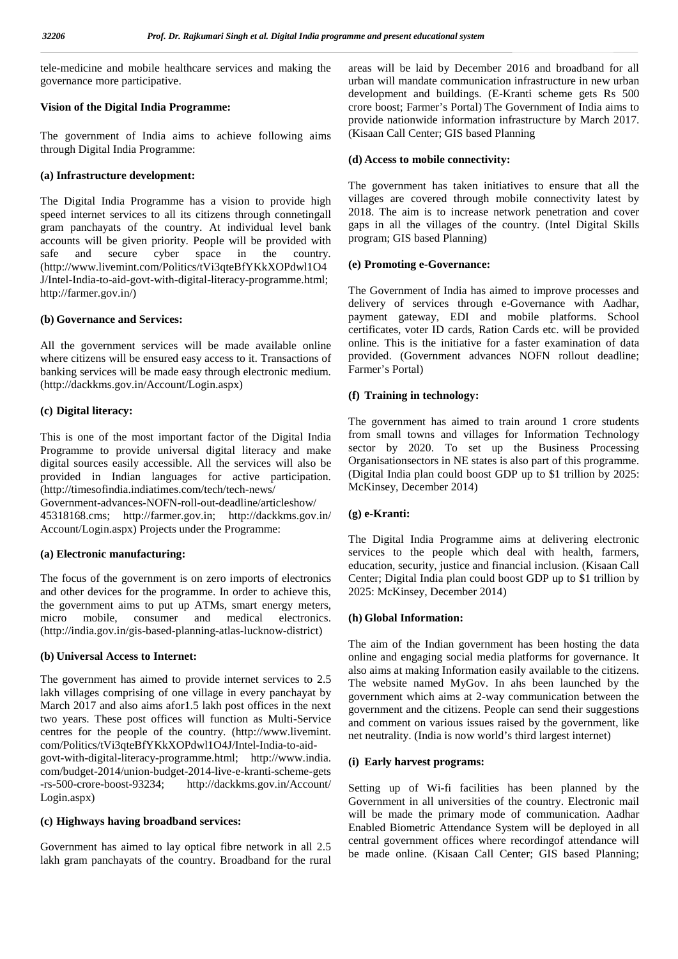tele-medicine and mobile healthcare services and making the governance more participative.

#### **Vision of the Digital India Programme:**

The government of India aims to achieve following aims through Digital India Programme:

#### **(a) Infrastructure development:**

The Digital India Programme has a vision to provide high speed internet services to all its citizens through connetingall gram panchayats of the country. At individual level bank accounts will be given priority. People will be provided with safe and secure cyber space in the country. (http://www.livemint.com/Politics/tVi3qteBfYKkXOPdwl1O4 J/Intel-India-to-aid-govt-with-digital-literacy-programme.html; http://farmer.gov.in/)

#### **(b) Governance and Services:**

All the government services will be made available online where citizens will be ensured easy access to it. Transactions of banking services will be made easy through electronic medium. (http://dackkms.gov.in/Account/Login.aspx)

#### **(c) Digital literacy:**

This is one of the most important factor of the Digital India Programme to provide universal digital literacy and make digital sources easily accessible. All the services will also be provided in Indian languages for active participation. (http://timesofindia.indiatimes.com/tech/tech-news/

Government-advances-NOFN-roll-out-deadline/articleshow/ 45318168.cms; http://farmer.gov.in; http://dackkms.gov.in/ Account/Login.aspx) Projects under the Programme:

# **(a) Electronic manufacturing:**

The focus of the government is on zero imports of electronics and other devices for the programme. In order to achieve this, the government aims to put up ATMs, smart energy meters, micro mobile, consumer and medical electronics. (http://india.gov.in/gis-based-planning-atlas-lucknow-district)

#### **(b) Universal Access to Internet:**

The government has aimed to provide internet services to 2.5 lakh villages comprising of one village in every panchayat by March 2017 and also aims afor1.5 lakh post offices in the next two years. These post offices will function as Multi-Service centres for the people of the country. (http://www.livemint. com/Politics/tVi3qteBfYKkXOPdwl1O4J/Intel-India-to-aid govt-with-digital-literacy-programme.html; http://www.india. com/budget-2014/union-budget-2014-live-e-kranti-scheme-gets -rs-500-crore-boost-93234; http://dackkms.gov.in/Account/ Login.aspx)

#### **(c) Highways having broadband services:**

Government has aimed to lay optical fibre network in all 2.5 lakh gram panchayats of the country. Broadband for the rural areas will be laid by December 2016 and broadband for all urban will mandate communication infrastructure in new urban development and buildings. (E-Kranti scheme gets Rs 500 crore boost; Farmer's Portal) The Government of India aims to provide nationwide information infrastructure by March 2017. (Kisaan Call Center; GIS based Planning

#### **(d) Access to mobile connectivity:**

The government has taken initiatives to ensure that all the villages are covered through mobile connectivity latest by 2018. The aim is to increase network penetration and cover gaps in all the villages of the country. (Intel Digital Skills program; GIS based Planning)

#### **(e) Promoting e-Governance:**

The Government of India has aimed to improve processes and delivery of services through e-Governance with Aadhar, payment gateway, EDI and mobile platforms. School certificates, voter ID cards, Ration Cards etc. will be provided online. This is the initiative for a faster examination of data provided. (Government advances NOFN rollout deadline; Farmer's Portal)

#### **(f) Training in technology:**

The government has aimed to train around 1 crore students from small towns and villages for Information Technology sector by 2020. To set up the Business Processing Organisationsectors in NE states is also part of this programme. (Digital India plan could boost GDP up to \$1 trillion by 2025: McKinsey, December 2014)

#### **(g) e-Kranti:**

The Digital India Programme aims at delivering electronic services to the people which deal with health, farmers, education, security, justice and financial inclusion. (Kisaan Call Center; Digital India plan could boost GDP up to \$1 trillion by 2025: McKinsey, December 2014)

### **(h) Global Information:**

The aim of the Indian government has been hosting the data online and engaging social media platforms for governance. It also aims at making Information easily available to the citizens. The website named MyGov. In ahs been launched by the government which aims at 2-way communication between the government and the citizens. People can send their suggestions and comment on various issues raised by the government, like net neutrality. (India is now world's third largest internet)

#### **(i) Early harvest programs:**

Setting up of Wi-fi facilities has been planned by the Government in all universities of the country. Electronic mail will be made the primary mode of communication. Aadhar Enabled Biometric Attendance System will be deployed in all central government offices where recordingof attendance will be made online. (Kisaan Call Center; GIS based Planning;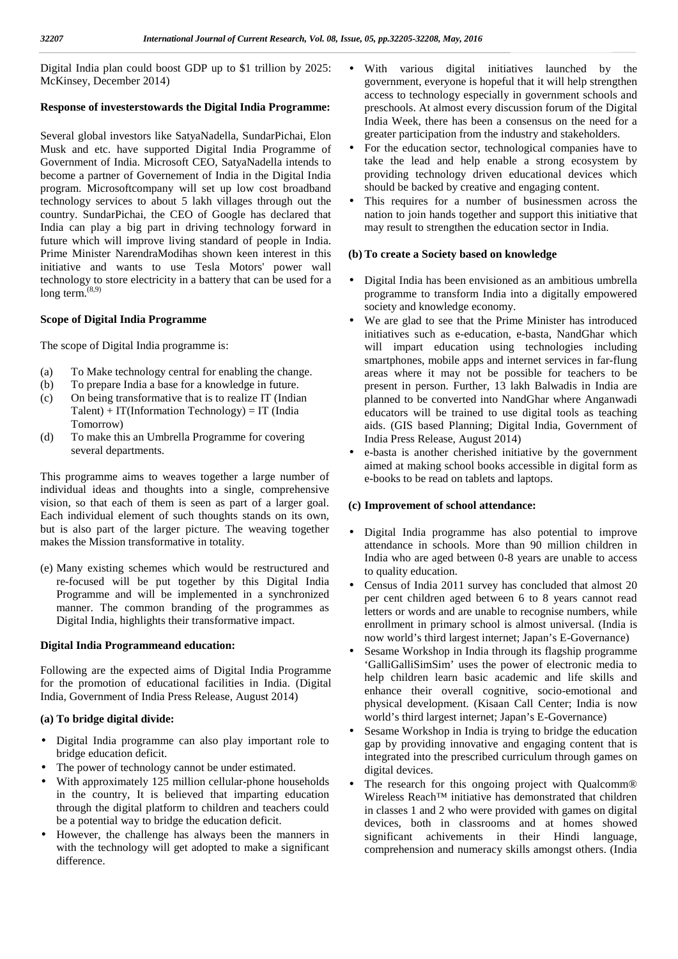Digital India plan could boost GDP up to \$1 trillion by 2025: McKinsey, December 2014)

# **Response of investerstowards the Digital India Programme:**

Several global investors like SatyaNadella, SundarPichai, Elon Musk and etc. have supported Digital India Programme of Government of India. Microsoft CEO, SatyaNadella intends to become a partner of Governement of India in the Digital India program. Microsoftcompany will set up low cost broadband technology services to about 5 lakh villages through out the country. SundarPichai, the CEO of Google has declared that India can play a big part in driving technology forward in future which will improve living standard of people in India. Prime Minister NarendraModihas shown keen interest in this initiative and wants to use Tesla Motors' power wall technology to store electricity in a battery that can be used for a long term. $^{(8,9)}$ 

# **Scope of Digital India Programme**

The scope of Digital India programme is:

- (a) To Make technology central for enabling the change.
- (b) To prepare India a base for a knowledge in future.
- (c) On being transformative that is to realize IT (Indian  $Talent$ ) + IT(Information Technology) = IT (India Tomorrow)
- (d) To make this an Umbrella Programme for covering several departments.

This programme aims to weaves together a large number of individual ideas and thoughts into a single, comprehensive vision, so that each of them is seen as part of a larger goal. Each individual element of such thoughts stands on its own, but is also part of the larger picture. The weaving together • makes the Mission transformative in totality.

(e) Many existing schemes which would be restructured and re-focused will be put together by this Digital India Programme and will be implemented in a synchronized manner. The common branding of the programmes as Digital India, highlights their transformative impact.

# **Digital India Programmeand education:**

Following are the expected aims of Digital India Programme for the promotion of educational facilities in India. (Digital India, Government of India Press Release, August 2014)

# **(a) To bridge digital divide:**

- Digital India programme can also play important role to bridge education deficit.
- The power of technology cannot be under estimated.
- With approximately 125 million cellular-phone households in the country, It is believed that imparting education through the digital platform to children and teachers could be a potential way to bridge the education deficit.
- However, the challenge has always been the manners in with the technology will get adopted to make a significant difference.
- With various digital initiatives launched by the government, everyone is hopeful that it will help strengthen access to technology especially in government schools and preschools. At almost every discussion forum of the Digital India Week, there has been a consensus on the need for a greater participation from the industry and stakeholders.
- For the education sector, technological companies have to take the lead and help enable a strong ecosystem by providing technology driven educational devices which should be backed by creative and engaging content.
- This requires for a number of businessmen across the nation to join hands together and support this initiative that may result to strengthen the education sector in India.

# **(b) To create a Society based on knowledge**

- Digital India has been envisioned as an ambitious umbrella programme to transform India into a digitally empowered society and knowledge economy.
- We are glad to see that the Prime Minister has introduced initiatives such as e-education, e-basta, NandGhar which will impart education using technologies including smartphones, mobile apps and internet services in far-flung areas where it may not be possible for teachers to be present in person. Further, 13 lakh Balwadis in India are planned to be converted into NandGhar where Anganwadi educators will be trained to use digital tools as teaching aids. (GIS based Planning; Digital India, Government of India Press Release, August 2014)
- e-basta is another cherished initiative by the government aimed at making school books accessible in digital form as e-books to be read on tablets and laptops.

# **(c) Improvement of school attendance:**

- Digital India programme has also potential to improve attendance in schools. More than 90 million children in India who are aged between 0-8 years are unable to access to quality education.
- Census of India 2011 survey has concluded that almost 20 per cent children aged between 6 to 8 years cannot read letters or words and are unable to recognise numbers, while enrollment in primary school is almost universal. (India is now world's third largest internet; Japan's E-Governance)
- Sesame Workshop in India through its flagship programme 'GalliGalliSimSim' uses the power of electronic media to help children learn basic academic and life skills and enhance their overall cognitive, socio-emotional and physical development. (Kisaan Call Center; India is now world's third largest internet; Japan's E-Governance)
- Sesame Workshop in India is trying to bridge the education gap by providing innovative and engaging content that is integrated into the prescribed curriculum through games on digital devices.
- The research for this ongoing project with Qualcomm® Wireless Reach™ initiative has demonstrated that children in classes 1 and 2 who were provided with games on digital devices, both in classrooms and at homes showed significant achivements in their Hindi language, comprehension and numeracy skills amongst others. (India